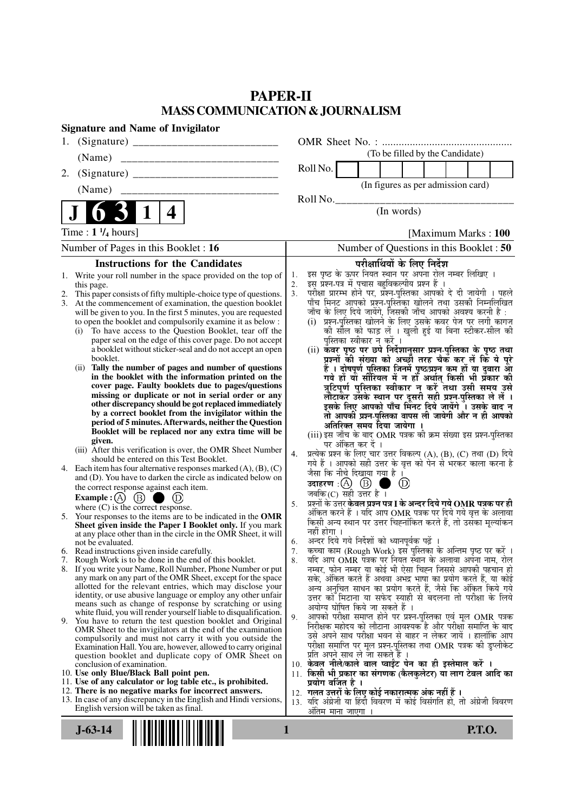### **PAPER-II MASS COMMUNICATION & JOURNALISM**

| <b>Signature and Name of Invigilator</b>                                                                                     |                                                                                                                                                     |
|------------------------------------------------------------------------------------------------------------------------------|-----------------------------------------------------------------------------------------------------------------------------------------------------|
|                                                                                                                              |                                                                                                                                                     |
| (Name)                                                                                                                       | (To be filled by the Candidate)                                                                                                                     |
| 2.                                                                                                                           | Roll No.                                                                                                                                            |
|                                                                                                                              | (In figures as per admission card)                                                                                                                  |
|                                                                                                                              | Roll No.                                                                                                                                            |
| 6 <sub>3</sub><br>$\mathbf 1$<br>4                                                                                           | (In words)                                                                                                                                          |
| Time : $1 \frac{1}{4}$ hours]                                                                                                | [Maximum Marks: 100]                                                                                                                                |
| Number of Pages in this Booklet: 16                                                                                          | Number of Questions in this Booklet: 50                                                                                                             |
| <b>Instructions for the Candidates</b>                                                                                       | परीक्षार्थियों के लिए निर्देश                                                                                                                       |
| Write your roll number in the space provided on the top of<br>1.                                                             | इस पृष्ठ के ऊपर नियत स्थान पर अपना रोल नम्बर लिखिए ।<br>इस प्रश्न-पत्र में पुचास बहुविकल्पीय प्रश्न हैं ।<br>1.                                     |
| this page.<br>2. This paper consists of fifty multiple-choice type of questions.                                             | 2.<br>3.                                                                                                                                            |
| At the commencement of examination, the question booklet<br>3.                                                               | परीक्षा प्रारम्भ होने पर, प्रॅश्न-पुस्तिका आपको दे दी जायेगी । पहले<br>पाँच मिनट आपको प्रश्न-पुस्तिका खोलने तथा उसकी निम्नलिखित                     |
| will be given to you. In the first 5 minutes, you are requested                                                              | जाँच के लिए दिये जायेंगे, जिसकी जाँच आपको अवश्य करनी है :<br>(i) प्रश्न-पुरितका खोलने के लिए उसके कवर पेज पर लगी कागज                               |
| to open the booklet and compulsorily examine it as below :<br>To have access to the Question Booklet, tear off the<br>(i)    | की सील को फाड़ लें । खुली हुई या बिना स्टीकर-सील की                                                                                                 |
| paper seal on the edge of this cover page. Do not accept                                                                     | पुस्तिका स्वीकार न करें ।                                                                                                                           |
| a booklet without sticker-seal and do not accept an open<br>booklet.                                                         | (ii) कवर पृष्ठ पर छपे निर्देशानुसार प्रश्न-पुस्तिका के पृष्ठ तथा<br>प्रश्नों की संख्या को अच्छों तरह चैक कर लें कि ये पूरे                          |
| (ii) Tally the number of pages and number of questions                                                                       |                                                                                                                                                     |
| in the booklet with the information printed on the                                                                           | हैं । दोषपूर्ण पुस्तिका जिनमें पृष्ठ/प्रश्न कम हों या दुबारा आ<br>गये हों या सीरियल में न हो अर्थात् किसी भी प्रकार की                              |
| cover page. Faulty booklets due to pages/questions<br>missing or duplicate or not in serial order or any                     | त्रुटिपूर्ण पुस्तिका स्वीकार न करें तथा उसी समय उसे<br>लौटाकेर उसके स्थान पर दूसरी सही प्रश्न-पुस्तिका ले लें ।                                     |
| other discrepancy should be got replaced immediately                                                                         | इसके लिए आपको पाँच मिंनट दिये जायेंगे ँ। उसके बाद न                                                                                                 |
| by a correct booklet from the invigilator within the<br>period of 5 minutes. Afterwards, neither the Question                | तो आपकी प्रश्न-पुस्तिका वापस ली जायेगी और न ही आपको                                                                                                 |
| Booklet will be replaced nor any extra time will be                                                                          | अतिरिक्त समय दिया जायेगा ।<br>(iii) इस जाँच के बाद OMR पत्रक की क्रम संख्या इस प्रश्न-पुस्तिका                                                      |
| given.                                                                                                                       | पर अंकित कर दें ।                                                                                                                                   |
| (iii) After this verification is over, the OMR Sheet Number<br>should be entered on this Test Booklet.                       | प्रत्येक प्रश्न के लिए चार उत्तर विकल्प (A), (B), (C) तथा (D) दिये<br>4.                                                                            |
| 4. Each item has four alternative responses marked $(A)$ , $(B)$ , $(C)$                                                     | गये हैं । आपको सही उत्तर के वृत्त को पेन से भरकर काला करना है<br>जैसा कि नीचे दिखाया गया है ।                                                       |
| and (D). You have to darken the circle as indicated below on<br>the correct response against each item.                      | उदाहरण $\Box(\bigcirc\bigcirc\bigcirc\bigcirc)$<br>$\circled{D}$                                                                                    |
| Example : $(A)$ $(B)$ (<br>۰                                                                                                 | जबकि (C) सही उत्तर है $\overline{1}$                                                                                                                |
| where $(C)$ is the correct response.                                                                                         | प्रश्नों के उत्तर <b>केवल प्रश्न पत्र I के अन्दर दिये गये OMR पत्रक पर ही</b><br>5.<br>अंकित करने हैं । यदि आप OMR पत्रक पर दिये गये वृत्त के अलावा |
| 5. Your responses to the items are to be indicated in the OMR<br>Sheet given inside the Paper I Booklet only. If you mark    | किसी अन्य स्थान पर उत्तर चिह्नांकित करते हैं, तो उसका मूल्यांकन                                                                                     |
| at any place other than in the circle in the OMR Sheet, it will                                                              | नहीं होगा ।                                                                                                                                         |
| not be evaluated.<br>6. Read instructions given inside carefully.                                                            | अन्दर दिये गये निर्देशों को ध्यानपूर्वक पढ़ें ।<br>6.<br>कृत्वा काम (Rough Work) इस पुस्तिका के अन्तिम पृष्ठ पर करें ।<br>7.                        |
| 7. Rough Work is to be done in the end of this booklet.                                                                      | यदि आप OMR पत्रक पर नियत स्थान के अलावा अपना नाम, रोल<br>8.                                                                                         |
| 8. If you write your Name, Roll Number, Phone Number or put                                                                  | नम्बर, फोन नम्बर या कोई भी ऐसा चिह्न जिससे आपकी पहचान हो                                                                                            |
| any mark on any part of the OMR Sheet, except for the space<br>allotted for the relevant entries, which may disclose your    | सके, अंकित करते हैं अथवा अभद्र भाषा का प्रयोग करते हैं, या कोई<br>अन्य अनुचित साधन का प्रयोग करते हैं, जैसे कि अंकित किये गये                       |
| identity, or use abusive language or employ any other unfair                                                                 | उत्तर को मिटाना या सफेद स्याही से बदलना तो परीक्षा के लिये                                                                                          |
| means such as change of response by scratching or using<br>white fluid, you will render yourself liable to disqualification. | अयोग्य घोषित किये जा सकते हैं ।                                                                                                                     |
| 9. You have to return the test question booklet and Original                                                                 | आपको परीक्षा समाप्त होने पर प्रश्न-पुस्तिका एवं मूल OMR पत्रक<br>9.<br>निरीक्षक महोदय को लौटाना आवश्यक है और परीक्षा समाप्ति के बाद                 |
| OMR Sheet to the invigilators at the end of the examination<br>compulsorily and must not carry it with you outside the       | उसे अपने साथ परीक्षा भवन से बाहर न लेकर जायें । हालांकि आप                                                                                          |
| Examination Hall. You are, however, allowed to carry original                                                                | परीक्षा समाप्ति पर मूल प्रश्न-पुस्तिका तथा OMR पत्रक की डुप्लीकेट                                                                                   |
| question booklet and duplicate copy of OMR Sheet on<br>conclusion of examination.                                            | प्रति अपने साथ ले जा सकते है ।<br>10. केवल नीले/काले बाल प्वाईंट पेन का ही इस्तेमाल करें ।                                                          |
| 10. Use only Blue/Black Ball point pen.                                                                                      | 11. किसी भी प्रकार का संगणक (कैलकुलेटर) या लाग टेबल आदि का                                                                                          |
| 11. Use of any calculator or log table etc., is prohibited.<br>12. There is no negative marks for incorrect answers.         | प्रयोग वर्जित है ।                                                                                                                                  |
| 13. In case of any discrepancy in the English and Hindi versions,                                                            | 12.  गलत उत्तरों के लिए कोई नकारात्मक अंक नहीं हैं ।<br>यदि अंग्रेजी या हिंदी विवरण में कोई विसंगति हो, तो अंग्रेजी विवरण<br>13.                    |
| English version will be taken as final.                                                                                      | अंतिम मान <u>ा जाएगा ।</u>                                                                                                                          |
| $J - 63 - 14$                                                                                                                | <b>P.T.O.</b><br>1                                                                                                                                  |
|                                                                                                                              |                                                                                                                                                     |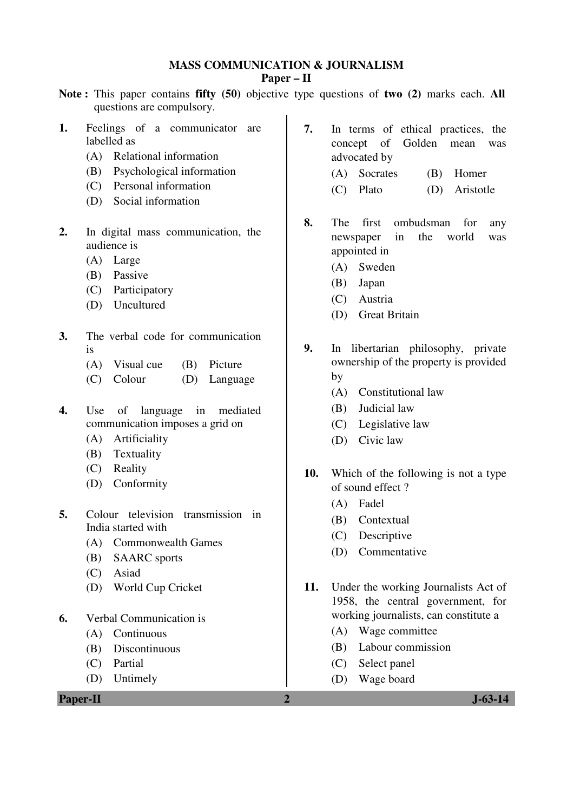## **MASS COMMUNICATION & JOURNALISM**

### **Paper – II**

- **Note :** This paper contains **fifty (50)** objective type questions of **two (2)** marks each. **All** questions are compulsory.
- **1.** Feelings of a communicator are labelled as
	- (A) Relational information
	- (B) Psychological information
	- (C) Personal information
	- (D) Social information
- **2.** In digital mass communication, the audience is
	- (A) Large
	- (B) Passive
	- (C) Participatory
	- (D) Uncultured
- **3.** The verbal code for communication is
	- (A) Visual cue (B) Picture
	- (C) Colour (D) Language
- **4.** Use of language in mediated communication imposes a grid on
	- (A) Artificiality
	- (B) Textuality
	- (C) Reality
	- (D) Conformity
- **5.** Colour television transmission in India started with
	- (A) Commonwealth Games
	- (B) SAARC sports
	- (C) Asiad
	- (D) World Cup Cricket
- **6.** Verbal Communication is
	- (A) Continuous
	- (B) Discontinuous
	- (C) Partial
	- (D) Untimely

**Paper-II 2 J-63-14** 

- **7.** In terms of ethical practices, the concept of Golden mean was advocated by
	- (A) Socrates (B) Homer
	- (C) Plato (D) Aristotle
- **8.** The first ombudsman for any newspaper in the world was appointed in
	- (A) Sweden
	- (B) Japan
	- (C) Austria
	- (D) Great Britain
- **9.** In libertarian philosophy, private ownership of the property is provided by
	- (A) Constitutional law
	- (B) Judicial law
	- (C) Legislative law
	- (D) Civic law
- **10.** Which of the following is not a type of sound effect ?
	- (A) Fadel
	- (B) Contextual
	- (C) Descriptive
	- (D) Commentative
- **11.** Under the working Journalists Act of 1958, the central government, for working journalists, can constitute a
	- (A) Wage committee
	- (B) Labour commission
	- (C) Select panel
	- (D) Wage board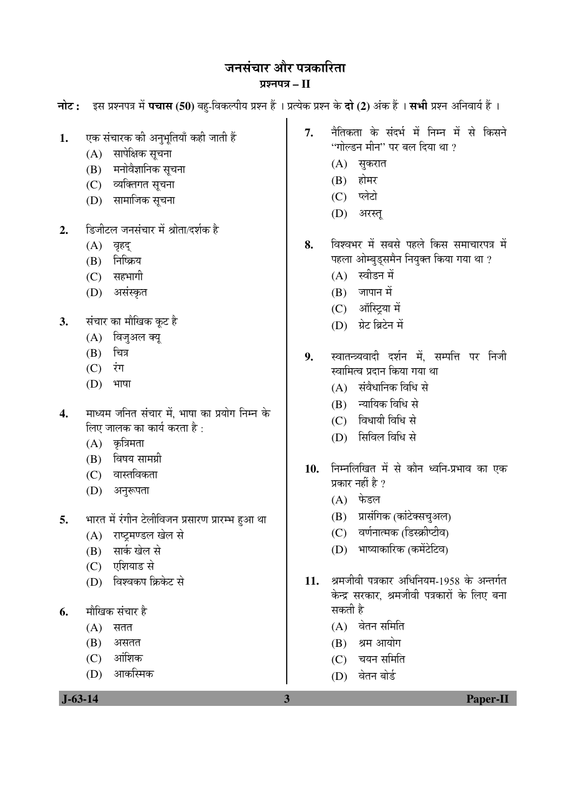# जनसंचार और पत्रकारिता

### ¯ÖÏ¿®Ö¯Ö¡Ö **– II**

| 7.<br>एक संचारक की अनुभूतियाँ कही जाती हैं<br>1.<br>सापेक्षिक सूचना<br>(A)<br>मनोवैज्ञानिक सूचना<br>(B)<br>व्यक्तिगत सूचना<br>(C)<br>सामाजिक सूचना<br>(D)<br>डिजीटल जनसंचार में श्रोता/दर्शक है<br>2.<br>8.<br>(A) वृहद्<br>निष्क्रिय<br>(B)<br>(C) सहभागी<br>असंस्कृत<br>(D)<br>संचार का मौखिक कूट है<br>3.<br>विजुअल क्यू<br>(A)<br>चित्र<br>(B)<br>9.<br>$(C)$ रंग<br>(D)<br>भाषा | नैतिकता के संदर्भ में निम्न में से किसने<br>''गोल्डन मीन'' पर बल दिया था ?<br>सुकरात<br>(A)<br>होमर<br>(B)                                       |
|--------------------------------------------------------------------------------------------------------------------------------------------------------------------------------------------------------------------------------------------------------------------------------------------------------------------------------------------------------------------------------------|--------------------------------------------------------------------------------------------------------------------------------------------------|
|                                                                                                                                                                                                                                                                                                                                                                                      | (C) प्लेटो<br>अरस्तू<br>(D)                                                                                                                      |
|                                                                                                                                                                                                                                                                                                                                                                                      | विश्वभर में सबसे पहले किस समाचारपत्र में<br>पहला ओम्बुड्समैन नियुक्त किया गया था ?<br>(A) स्वीडन में<br>जापान में<br>(B)<br>(C) ऑस्ट्रिया में    |
|                                                                                                                                                                                                                                                                                                                                                                                      | ग्रेट ब्रिटेन में<br>(D)<br>स्वातन्त्र्यवादी दर्शन में, सम्पत्ति पर निजी<br>स्वामित्व प्रदान किया गया था<br>संवैधानिक विधि से<br>(A)             |
| माध्यम जनित संचार में, भाषा का प्रयोग निम्न के<br>4.<br>लिए जालक का कार्य करता है :<br>(A) कृत्रिमता<br>विषय सामग्री<br>(B)<br>10.<br>(C) वास्तविकता<br>अनुरूपता<br>(D)                                                                                                                                                                                                              | न्यायिक विधि से<br>(B)<br>(C) विधायी विधि से<br>सिविल विधि से<br>(D)<br>निम्नलिखित में से कौन ध्वनि-प्रभाव का एक<br>प्रकार नहीं है ?<br>(A) फेडल |
| भारत में रंगीन टेलीविजन प्रसारण प्रारम्भ हुआ था<br>5.<br>राष्ट्रमण्डल खेल से<br>(A)<br>सार्क खेल से<br>(B)<br>एशियाड से<br>(C)<br>विश्वकप क्रिकेट से<br>11.                                                                                                                                                                                                                          | (B) प्रासंगिक (कांटेक्सचुअल)<br>वर्णनात्मक (डिस्क्रीप्टीव)<br>(C)<br>भाष्याकारिक (कमेंटेटिव)<br>(D)<br>श्रमजीवी पत्रकार अधिनियम-1958 के अन्तर्गत |
| (D)<br>मौखिक संचार है<br>6.<br>(A)<br>सतत<br>(B)<br>असतत<br>आंशिक<br>(C)<br>आकस्मिक<br>(D)<br>$J - 63 - 14$<br>3                                                                                                                                                                                                                                                                     | केन्द्र सरकार, श्रमजीवी पत्रकारों के लिए बना<br>सकती है<br>वेतन समिति<br>(A)<br>श्रम आयोग<br>(B)<br>चयन समिति<br>(C)<br>वेतन बोर्ड<br>(D)        |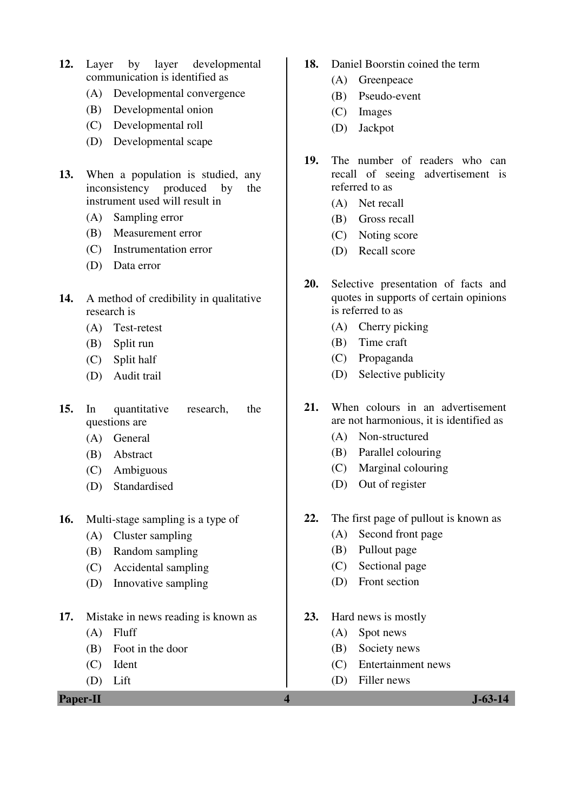- **12.** Layer by layer developmental communication is identified as
	- (A) Developmental convergence
	- (B) Developmental onion
	- (C) Developmental roll
	- (D) Developmental scape
- **13.** When a population is studied, any inconsistency produced by the instrument used will result in
	- (A) Sampling error
	- (B) Measurement error
	- (C) Instrumentation error
	- (D) Data error
- **14.** A method of credibility in qualitative research is
	- (A) Test-retest
	- (B) Split run
	- (C) Split half
	- (D) Audit trail
- **15.** In quantitative research, the questions are
	- (A) General
	- (B) Abstract
	- (C) Ambiguous
	- (D) Standardised
- **16.** Multi-stage sampling is a type of
	- (A) Cluster sampling
	- (B) Random sampling
	- (C) Accidental sampling
	- (D) Innovative sampling
- **17.** Mistake in news reading is known as
	- (A) Fluff
	- (B) Foot in the door
	- (C) Ident
	- (D) Lift

**Paper-II** J-63-14

- **18.** Daniel Boorstin coined the term
	- (A) Greenpeace
	- (B) Pseudo-event
	- (C) Images
	- (D) Jackpot
- **19.** The number of readers who can recall of seeing advertisement is referred to as
	- (A) Net recall
	- (B) Gross recall
	- (C) Noting score
	- (D) Recall score
- **20.** Selective presentation of facts and quotes in supports of certain opinions is referred to as
	- (A) Cherry picking
	- (B) Time craft
	- (C) Propaganda
	- (D) Selective publicity
- **21.** When colours in an advertisement are not harmonious, it is identified as
	- (A) Non-structured
	- (B) Parallel colouring
	- (C) Marginal colouring
	- (D) Out of register
- **22.** The first page of pullout is known as
	- (A) Second front page
	- (B) Pullout page
	- (C) Sectional page
	- (D) Front section
- **23.** Hard news is mostly
	- (A) Spot news
	- (B) Society news
	- (C) Entertainment news
	- (D) Filler news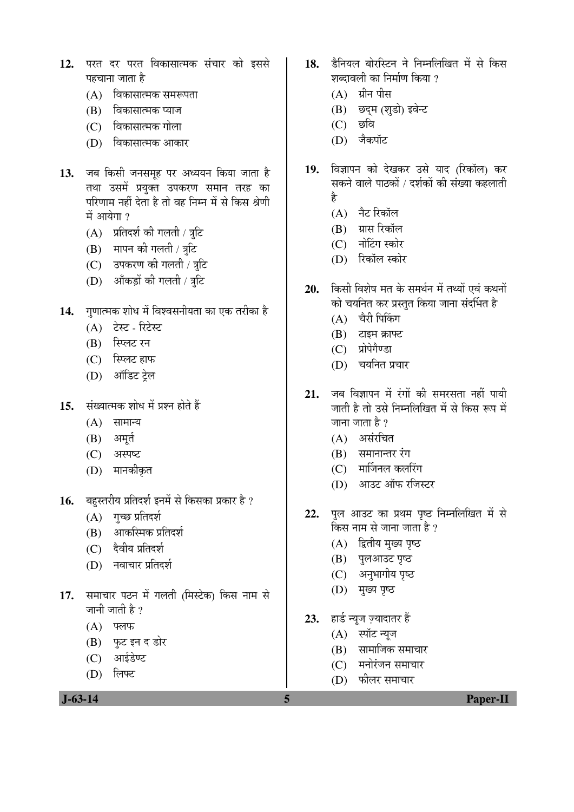- 12. परत दर परत विकासात्मक संचार को इससे पहचाना जाता है
	- (A) विकासात्मक समरूपता
	- (B) विकासात्मक प्याज
	- (C) विकासात्मक गोला
	- (D) विकासात्मक आकार
- 13. जब किसी जनसमूह पर अध्ययन किया जाता है तथा उसमें प्रयुक्त उपकरण समान तरह का परिणाम नहीं देता है तो वह निम्न में से किस श्रेणी  $\vec{H}$  आयेगा ?
	- $(A)$  प्रतिदर्श की गलती / त्रुटि
	- $(B)$  मापन की गलती / त्रुटि
	- (C) उपकरण की गलती / त्रूटि
	- (D) आँकड़ों की गलती / त्रटि
- 14. गणात्मक शोध में विश्वसनीयता का एक तरीका है
	- (A) टेस्ट रिटेस्ट
	- (B) स्प्लिट रन
	- (C) स्प्लिट हाफ
	- (D) ऑडिट ट्रेल
- 15. संख्यात्मक शोध में प्रश्न होते हैं
	- $(A)$  सामान्य
	- $(B)$  अमृत
	- (C) अस्पष्ट
	- (D) मानकीकृत
- 16. बहस्तरीय प्रतिदर्श इनमें से किसका प्रकार है ?
	- $(A)$  गुच्छ प्रतिदर्श
	- $(B)$  आकस्मिक प्रतिदर्श
	- $(C)$  देवीय प्रतिदर्श
	- (D) नवाचार प्रतिदर्श
- 17. समाचार पठन में गलती (मिस्टेक) किस नाम से जानी जाती है ?
	- $(A)$  फ्लफ
	- (B) फुट इन द डोर
	- $(C)$  आईडेण्ट
	- (D) लिफ्ट

18. हैनियल बोरस्टिन ने निम्नलिखित में से किस शब्दावली का निर्माण किया ?

- $(A)$  ग्रीन पीस
- (B) छद्म (शुडो) इवेन्ट
- $(C)$  छवि
- (D) जैकपॉट
- 19. विज्ञापन को देखकर उसे याद (रिकॉल) कर सकने वाले पाठकों / दर्शकों की संख्या कहलाती है
	- (A) नैट रिकॉल
	- (B) ग्रास रिकॉल
	- (C) नोटिंग स्कोर
	- (D) रिकॉल स्कोर
- 20. কিसी विशेष मत के समर्थन में तथ्यों एवं कथनों को चयनित कर प्रस्तुत किया जाना संदर्भित है
	- $(A)$  चैरी पिकिंग
	- $(B)$  टाइम क्राफ्ट
	- (C) प्रोपेगेण्डा
	- (D) चयनित प्रचार
- 21. जब विज्ञापन में रंगों की समरसता नहीं पायी जाती है तो उसे निम्नलिखित में से किस रूप में जाना जाता है ?
	- $(A)$  असंरचित
	- $(B)$  समानान्तर रंग
	- $(C)$  मार्जिनल कलरिंग
	- $(D)$  आउट ऑफ रजिस्टर
- 22. पुल आउट का प्रथम पृष्ठ निम्नलिखित में से  $\stackrel{\frown}{\phantom{\frown}}$ किस नाम से जाना जाता है ?
	- (A) द्वितीय मुख्य पृष्ठ
	- $(B)$  पुलआउट पृष्ठ
	- (C) अनुभागीय पृष्ठ
	- $(D)$  मुख्य पृष्ठ
- 23. हार्ड न्यूज ज़्यादातर हैं
	- (A) स्पॉट न्यूज
	- $(B)$  सामाजिक समाचार
	- $(C)$  ) मनोरंजन समाचार
	- (D) फोलर समाचार
- **J-63-14 5 Paper-II**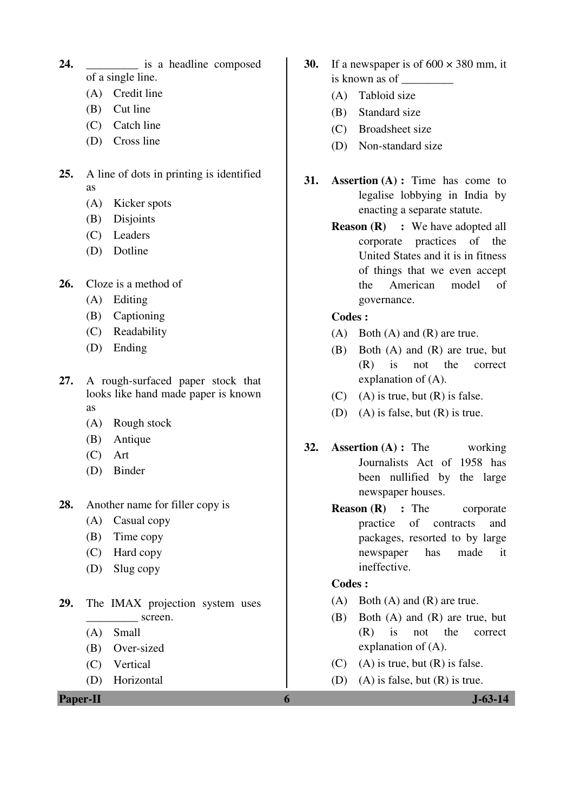- 24. **is a headline composed** of a single line.
	- (A) Credit line
	- (B) Cut line
	- (C) Catch line
	- (D) Cross line
- **25.** A line of dots in printing is identified as
	- (A) Kicker spots
	- (B) Disjoints
	- (C) Leaders
	- (D) Dotline
- **26.** Cloze is a method of
	- (A) Editing
	- (B) Captioning
	- (C) Readability
	- (D) Ending
- **27.** A rough-surfaced paper stock that looks like hand made paper is known as
	- (A) Rough stock
	- (B) Antique
	- (C) Art
	- (D) Binder
- **28.** Another name for filler copy is
	- (A) Casual copy
	- (B) Time copy
	- (C) Hard copy
	- (D) Slug copy
- **29.** The IMAX projection system uses screen.
	- (A) Small
	- (B) Over-sized
	- (C) Vertical
	- (D) Horizontal

**Paper-II 6 J-63-14** 

- **30.** If a newspaper is of  $600 \times 380$  mm, it is known as of \_\_\_\_\_\_\_\_\_
	- (A) Tabloid size
	- (B) Standard size
	- (C) Broadsheet size
	- (D) Non-standard size
- **31. Assertion (A) :** Time has come to legalise lobbying in India by enacting a separate statute.
	- **Reason (R) :** We have adopted all corporate practices of the United States and it is in fitness of things that we even accept the American model of governance.
	- **Codes :**
	- (A) Both (A) and (R) are true.
	- (B) Both (A) and (R) are true, but (R) is not the correct explanation of (A).
	- $(C)$  (A) is true, but  $(R)$  is false.
	- (D) (A) is false, but (R) is true.
- **32. Assertion (A) :** The working Journalists Act of 1958 has been nullified by the large newspaper houses.
	- **Reason (R)** : The corporate practice of contracts and packages, resorted to by large newspaper has made it ineffective.

### **Codes :**

- (A) Both (A) and (R) are true.
- (B) Both (A) and (R) are true, but (R) is not the correct explanation of (A).
- $(C)$  (A) is true, but  $(R)$  is false.
- (D) (A) is false, but (R) is true.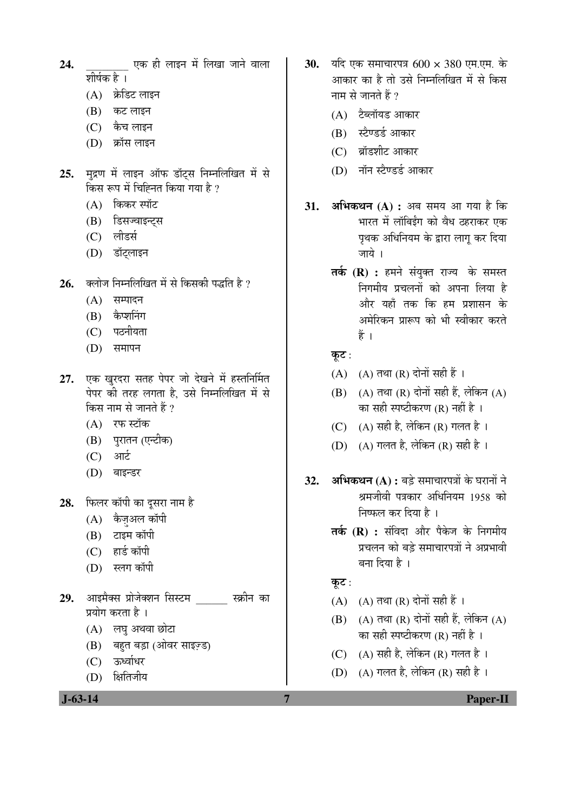- 24. <sup>24.</sup> wa ही लाइन में लिखा जाने वाला शीर्षक है ।
	- (A) क्रेडिट लाइन
	- (B) कट लाइन
	- $(C)$  केच लाइन
	- (D) क्रॉस लाइन
- 25. मुद्रण में लाइन ऑफ डॉटस निम्नलिखित में से किस रूप में चिह्नित किया गया है ?
	- $(A)$  किकर स्पॉट
	- (B) डिसज्वाइन्ट्स
	- (C) लीडर्स
	- (D) डॉट्लाइन
- 26. क्लोज निम्नलिखित में से किसकी पद्धति है ?
	- $(A)$  सम्पादन
	- (B) कैप्शनिंग
	- (C) पठनीयता
	- $(D)$  समापन
- 27. एक खुरदरा सतह पेपर जो देखने में हस्तनिर्मित पेपर की तरह लगता है. उसे निम्नलिखित में से किस नाम से जानते हैं ?
	- (A) रफ स्टॉक
	- (B) प्*रातन (एन्टीक)*
	- (C) आर्ट
	- (D) बाइन्डर
- 28. फिलर कॉपी का दुसरा नाम है
	- (A) कैज़अल कॉपी
	- $(B)$  टाइम कॉपी
	- (C) हार्ड कॉपी
	- (D) स्लग कॉपी
- **29.** †Ö‡´ÖîŒÃÖ ¯ÖÏÖê•ÖêŒ¿Ö®Ö ×ÃÖÙü´Ö \_\_\_\_\_\_ ÃÛÎúß®Ö ÛúÖ प्रयोग करता है ।
	- $(A)$  लघु अथवा छोटा
	- (B) बहुत बड़ा (ओवर साइज़्ड)
	- (C) ऊर्ध्वाधर
	- (D) क्षितिजीय

- **30.** यदि एक समाचारपत्र 600 × 380 एम.एम. के आकार का है तो उसे निम्नलिखित में से किस नाम से जानते हैं ?
	- $(A)$  टैब्लॉयड आकार
	- (B) स्टैण्डर्ड आकार
	- (C) ब्रॉडशीट आकार
	- (D) नॉन स्टैण्डर्ड आकार
- **31. अभिकथन (A) :** अब समय आ गया है कि भारत में लॉबिईंग को वैध ठहराकर एक पृथक अधिनियम के द्वारा लागू कर दिया जाये ।
	- **तर्क (R) :** हमने संयुक्त राज्य के समस्त <u>निगमीय प्रचलनों को अपना लिया है</u> ओर यहाँ तक कि हम प्रशासन के अमेरिकन प्रारूप को भी स्वीकार करते हैं $\frac{3}{2}$ ।
	- कुट $:$
	- $(A)$   $(A)$  तथा  $(R)$  दोनों सही हैं ।
	- $(B)$   $(A)$  तथा  $(R)$  दोनों सही हैं, लेकिन  $(A)$ का सही स्पष्टीकरण (R) नहीं है ।
	- (C) (A) सही है, लेकिन (R) गलत है।
	- (D) (A) गलत है, लेकिन (R) सही है ।
- 32. **अभिकथन (A) :** बडे समाचारपत्रों के घरानों ने श्रमजीवी पत्रकार अधिनियम 1958 को निष्फल कर दिया है ।
	- **तर्क (R) :** संविदा और पैकेज के निगमीय <u>प्रचलन को बड़े समाचारपत्रों ने अप्रभावी</u> बना दिया है ।

कूट:

- $(A)$   $(A)$  तथा  $(R)$  दोनों सही हैं ।
- $(B)$   $(A)$  तथा  $(R)$  दोनों सही हैं. लेकिन  $(A)$ का सही स्पष्टीकरण (R) नहीं है ।
- (C)  $(A)$  सही है, लेकिन (R) गलत है।
- (D) (A) गलत है, लेकिन (R) सही है।

 **J-63-14 7 Paper-II**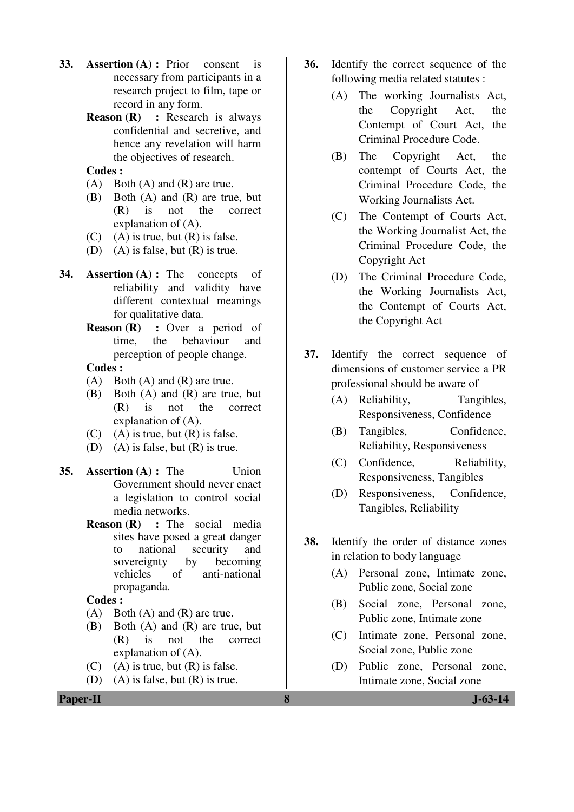- **33. Assertion (A) :** Prior consent is necessary from participants in a research project to film, tape or record in any form.
	- **Reason (R) :** Research is always confidential and secretive, and hence any revelation will harm the objectives of research.

#### **Codes :**

- (A) Both (A) and (R) are true.
- (B) Both (A) and (R) are true, but (R) is not the correct explanation of (A).
- $(C)$  (A) is true, but  $(R)$  is false.
- (D) (A) is false, but (R) is true.
- **34. Assertion (A) :** The concepts of reliability and validity have different contextual meanings for qualitative data.
	- **Reason (R)** : Over a period of time, the behaviour and perception of people change.

#### **Codes :**

- (A) Both (A) and (R) are true.
- (B) Both (A) and (R) are true, but (R) is not the correct explanation of (A).
- $(C)$  (A) is true, but  $(R)$  is false.
- (D) (A) is false, but (R) is true.
- **35. Assertion (A) :** The Union Government should never enact a legislation to control social media networks.
	- **Reason (R)** : The social media sites have posed a great danger to national security and sovereignty by becoming vehicles of anti-national propaganda.

 **Codes :**

- (A) Both (A) and (R) are true.
- (B) Both (A) and (R) are true, but (R) is not the correct explanation of (A).
- $(C)$  (A) is true, but  $(R)$  is false.
- (D) (A) is false, but (R) is true.
- **36.** Identify the correct sequence of the following media related statutes :
	- (A) The working Journalists Act, the Copyright Act, the Contempt of Court Act, the Criminal Procedure Code.
	- (B) The Copyright Act, the contempt of Courts Act, the Criminal Procedure Code, the Working Journalists Act.
	- (C) The Contempt of Courts Act, the Working Journalist Act, the Criminal Procedure Code, the Copyright Act
	- (D) The Criminal Procedure Code, the Working Journalists Act, the Contempt of Courts Act, the Copyright Act
- **37.** Identify the correct sequence of dimensions of customer service a PR professional should be aware of
	- (A) Reliability, Tangibles, Responsiveness, Confidence
	- (B) Tangibles, Confidence, Reliability, Responsiveness
	- (C) Confidence, Reliability, Responsiveness, Tangibles
	- (D) Responsiveness, Confidence, Tangibles, Reliability
- **38.** Identify the order of distance zones in relation to body language
	- (A) Personal zone, Intimate zone, Public zone, Social zone
	- (B) Social zone, Personal zone, Public zone, Intimate zone
	- (C) Intimate zone, Personal zone, Social zone, Public zone
	- (D) Public zone, Personal zone, Intimate zone, Social zone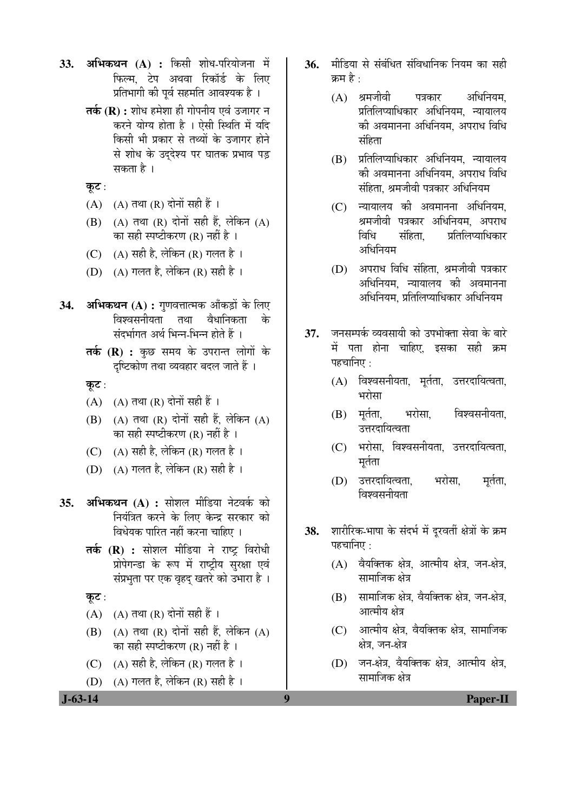- **33. अभिकथन (A) :** किसी शोध-परियोजना में फिल्म. टेप अथवा रिकॉर्ड के लिए प्रतिभागी की पूर्व सहमति आवश्यक है ।
	- **तर्क (R) :** शोध हमेशा ही गोपनीय एवं उजागर न करने योग्य होता है । ऐसी स्थिति में यदि किसी भी प्रकार से तथ्यों के उजागर होने से शोध के उददेश्य पर घातक प्रभाव पड़ सकता है ।

कुट:

- $(A)$   $(A)$  तथा  $(R)$  दोनों सही हैं।
- $(B)$   $(A)$  तथा  $(R)$  दोनों सही हैं, लेकिन  $(A)$ का सही स्पष्टीकरण (R) नहीं है ।
- (C)  $(A)$  सही है, लेकिन (R) गलत है ।
- (D) (A) गलत है, लेकिन (R) सही है।
- **34. अभिकथन (A) :** गणवत्तात्मक आँकड़ों के लिए विश्वसनीयता तथा वैधानिकता के संदर्भागत अर्थ भिन्न-भिन्न होते हैं ।
	- **तर्क (R) :** कुछ समय के उपरान्त लोगों के दृष्टिकोण तथा व्यवहार बदल जाते हैं ।

कूट $:$ 

- $(A)$   $(A)$  तथा  $(R)$  दोनों सही हैं ।
- $(B)$   $(A)$  तथा  $(R)$  दोनों सही हैं. लेकिन  $(A)$ का सही स्पष्टीकरण (R) नहीं है ।
- (C)  $(A)$  सही है, लेकिन (R) गलत है।
- (D) (A) गलत है, लेकिन (R) सही है ।
- 35. अभिकथन (A) : सोशल मीडिया नेटवर्क को नियंत्रित करने के लिए केन्द्र सरकार को विधेयक पारित नहीं करना चाहिए ।
	- **तर्क (R) :** सोशल मीडिया ने राष्ट्र विरोधी प्रोपेगन्डा के रूप में राष्ट्रीय सुरक्षा एवं संप्रभृता पर एक वृहद खतरे को उभारा है ।

कुट $:$ 

- (A)  $(A)$  तथा (R) दोनों सही हैं ।
- $(B)$   $(A)$  तथा  $(R)$  दोनों सही हैं, लेकिन  $(A)$ का सही स्पष्टीकरण (R) नहीं है ।
- (C)  $(A)$  सही है, लेकिन (R) गलत है।
- (D)  $(A)$  गलत है, लेकिन  $(R)$  सही है।
- 36. मीडिया से संबंधित संविधानिक नियम का सही कम $\stackrel{\rightarrow}{\varepsilon}$   $\cdot$ 
	- (A) श्रमजीवी पत्रकार अधिनियम. प्रतिलिप्याधिकार अधिनियम. न्यायालय को अवमानना अधिनियम. अपराध विधि संहिता
	- $(B)$  प्रतिलिप्याधिकार अधिनियम, न्यायालय को अवमानना अधिनियम. अपराध विधि संहिता. श्रमजीवी पत्रकार अधिनियम
	- $(C)$  न्यायालय की अवमानना अधिनियम. श्रमजीवी पत्रकार अधिनियम, अपराध<br>विधि संहिता प्रतिलिप्याधिकार संहिता प्रतिलिप्याधिकार अधिनियम
	- (D) अपराध विधि संहिता. श्रमजीवी पत्रकार अधिनियम. न्यायालय की अवमानना अधिनियम. प्रतिलिप्याधिकार अधिनियम
- 37. जनसम्पर्क व्यवसायी को उपभोक्ता सेवा के बारे में पता होना चाहिए, इसका सही क्रम पहचानिए $\,$  :
	- (A) विश्वसनीयता, मूर्तता, उत्तरदायित्वता, भरोसा
	- (B) मूर्तता, भरोसा, विश्वसनीयता. उत्तरदायित्वता
	- (C) भरोसा, विश्वसनीयता, उत्तरदायित्वता, मुर्तता
	- (D) उत्तरदायित्वता, भरोसा, मर्तता, <u>विश्वसनीयता</u>
- 38. शारीरिक-भाषा के संदर्भ में दूरवर्ती क्षेत्रों के क्रम पहचानिए $\,$  :
	- $(A)$  वैयक्तिक क्षेत्र, आत्मीय क्षेत्र, जन-क्षेत्र, सामाजिक क्षेत्र
	- $(B)$  सामाजिक क्षेत्र, वैयक्तिक क्षेत्र, जन-क्षेत्र, आत्मीय क्षेत्र
	- $(C)$  । आत्मीय क्षेत्र, वैयक्तिक क्षेत्र, सामाजिक क्षेत्र. जन-क्षेत्र
	- (D) जन-क्षेत्र, वैयक्तिक क्षेत्र, आत्मीय क्षेत्र, सामाजिक क्षेत्र

 **J-63-14 9 Paper-II**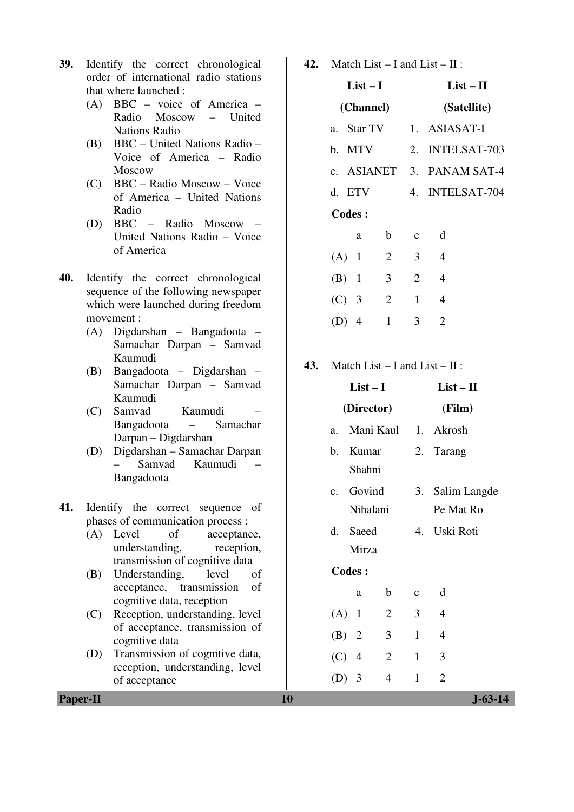- **39.** Identify the correct chronological order of international radio stations that where launched :
	- (A) BBC voice of America Radio Moscow – United Nations Radio
	- (B) BBC United Nations Radio Voice of America – Radio Moscow
	- (C) BBC Radio Moscow Voice of America – United Nations Radio
	- (D) BBC Radio Moscow United Nations Radio – Voice of America
- **40.** Identify the correct chronological sequence of the following newspaper which were launched during freedom movement :
	- (A) Digdarshan Bangadoota Samachar Darpan – Samvad Kaumudi
	- (B) Bangadoota Digdarshan Samachar Darpan – Samvad Kaumudi
	- (C) Samvad Kaumudi Bangadoota – Samachar Darpan – Digdarshan
	- (D) Digdarshan Samachar Darpan Samvad Kaumudi Bangadoota

#### **41.** Identify the correct sequence of phases of communication process :

- (A) Level of acceptance, understanding, reception, transmission of cognitive data
- (B) Understanding, level of acceptance, transmission of cognitive data, reception
- (C) Reception, understanding, level of acceptance, transmission of cognitive data
- (D) Transmission of cognitive data, reception, understanding, level of acceptance

**42.** Match List – I and List – II :

|               | $List-I$   | $List-II$      |                |                 |
|---------------|------------|----------------|----------------|-----------------|
|               | (Channel)  |                |                | (Satellite)     |
|               | a. Star TV |                |                | 1. ASIASAT-I    |
| b. MTV        |            |                |                | 2. INTELSAT-703 |
|               | c. ASIANET |                |                | 3. PANAM SAT-4  |
| d. ETV        |            |                |                | 4. INTELSAT-704 |
| <b>Codes:</b> |            |                |                |                 |
|               | a          | $\mathbf b$    | $\mathbf{C}$   | d               |
| $(A)$ 1       |            | $\overline{2}$ | 3 <sup>1</sup> | $\overline{4}$  |
| $(B)$ 1       |            | 3              | $\overline{2}$ | $\overline{4}$  |
| $(C)$ 3       |            | $\overline{2}$ | $\mathbf{1}$   | 4               |
| (D)           | 4          | 1              | 3              | 2               |

**43.** Match List – Land List –  $H'$ :

| 3. Salim Langde |
|-----------------|
|                 |
|                 |
|                 |
|                 |
|                 |
|                 |
|                 |
|                 |
|                 |
|                 |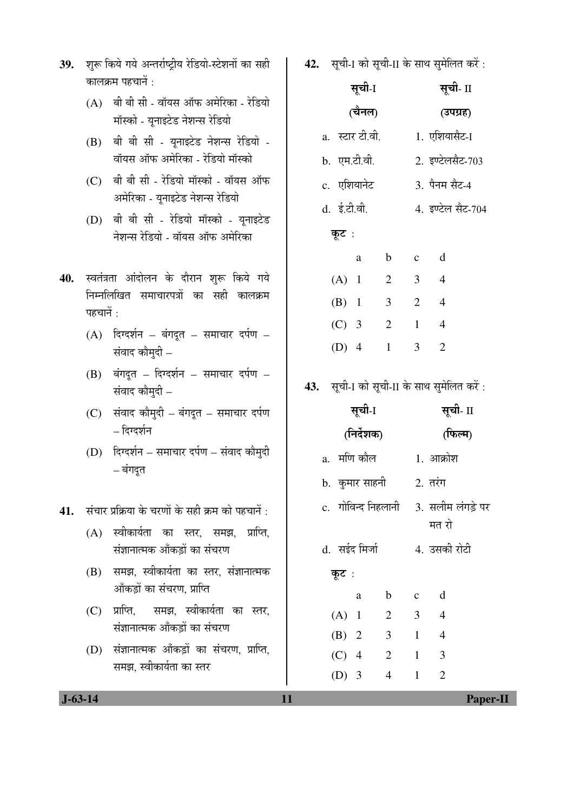- 39. शुरू किये गये अन्तर्राष्ट्रीय रेडियो-स्टेशनों का सही कालकम पहचानें $\cdot$ 
	- $(A)$  बी बी सी वॉयस ऑफ अमेरिका रेडियो <u>मॉस्को - यूनाइटेड नेशन्स रेडियो</u>
	- $(B)$  बी बी सी यूनाइटेड नेशन्स रेडियो -<u>वॉयस ऑफ अमेरिका - रेडियो मॉस्को</u>
	- $(C)$  बी बी सी रेडियो मॉस्को वॉयस ऑफ अमेरिका - यूनाइटेड नेशन्स रेडियो
	- $(D)$  बी बी सी रेडियो मॉस्को यूनाइटेड नेशन्स रेडियो - वॉयस ऑफ अमेरिका
- 40. स्वतंत्रता आंदोलन के दौरान शुरू किये गये निम्नलिखित समाचारपत्रों का सही कालक्रम पहचानें $\,$ :
	- $(A)$  दिग्दर्शन बंगदुत समाचार दर्पण संवाद कौमुदी  $-$
	- $(B)$  बंगदूत दिग्दर्शन समाचार दर्पण संवाद कोमुदी  $-$
	- $(C)$  संवाद कौमुदी बंगदूत समाचार दर्पण  $-$  दिग्दर्शन
	- (D) दिग्दर्शन समाचार दर्पण संवाद कौमुदी – बंगदत
- 41. संचार प्रक्रिया के चरणों के सही क्रम को पहचानें:
	- $(A)$  स्वीकार्यता का स्तर, समझ, प्राप्ति, संज्ञानात्मक आँकड़ों का संचरण
	- $(B)$  समझ, स्वीकार्यता का स्तर, संज्ञानात्मक <u>ऑॅंकड़ों का संचरण, प्राप्ति</u>
	- (C) प्राप्ति, समझ, स्वीकार्यता का स्तर, संज्ञानात्मक आँकड़ों का संचरण
	- (D) संज्ञानात्मक आँकड़ों का संचरण, प्राप्ति, समझ, स्वीकार्यता का स्तर

42. सृची-I को सृची-II के साथ सुमेलित करें:

|                  | सूची-I |                | सूची- II       |                   |
|------------------|--------|----------------|----------------|-------------------|
|                  | (चैनल) |                |                | (उपग्रह)          |
| a.) स्टार टी.वी. |        |                |                | 1. एशियासैट-1     |
| b. एम.टी.वी.     |        |                |                | 2. इण्टेलसैट-703  |
| c. एशियानेट      |        |                |                | 3. पैनम सैट-4     |
| d. ई.टी.वी.      |        |                |                | 4. इण्टेल सैट-704 |
| कूट :            |        |                |                |                   |
|                  | a      | $\mathbf b$    | $\mathbf{c}$   | d                 |
| $(A)$ 1          |        | $\overline{2}$ | $\overline{3}$ | $\overline{4}$    |
| $(B)$ 1          |        | 3              | $\overline{2}$ | $\overline{4}$    |
| $(C)$ 3          |        | $\overline{2}$ | $\mathbf{1}$   | $\overline{4}$    |
| $(D)$ 4          |        | $\mathbf{1}$   | 3              | $\overline{2}$    |
|                  |        |                |                |                   |

43. सूची-I को सूची-II के साथ सुमेलित करें:

|             | सूची-I                                  |                | सूची- II       |                |
|-------------|-----------------------------------------|----------------|----------------|----------------|
|             | (निर्देशक)                              |                | (फिल्म)        |                |
| a.  मणि कौल |                                         |                |                | 1. आक्रोश      |
|             | b.  कुमार साहनी                         |                |                | $2.$ तरंग      |
|             | c. गोविन्द निहलानी    3. सलीम लंगड़े पर |                |                | मत रो          |
|             | d. सईद मिर्जा                           |                |                | 4. उसकी रोटी   |
| कूट :       |                                         |                |                |                |
|             | a                                       | $\mathbf b$    | $c \, d$       |                |
| $(A)$ 1     |                                         | $\overline{2}$ | $\overline{3}$ | $\overline{4}$ |
| $(B)$ 2     |                                         | $\mathfrak{Z}$ | $1 \quad 4$    |                |
| $(C)$ 4     |                                         | $\overline{2}$ | $\frac{1}{2}$  | 3              |
| $(D)$ 3     |                                         | 4              | $\mathbf{1}$   | $\overline{2}$ |

 **J-63-14 11 Paper-II**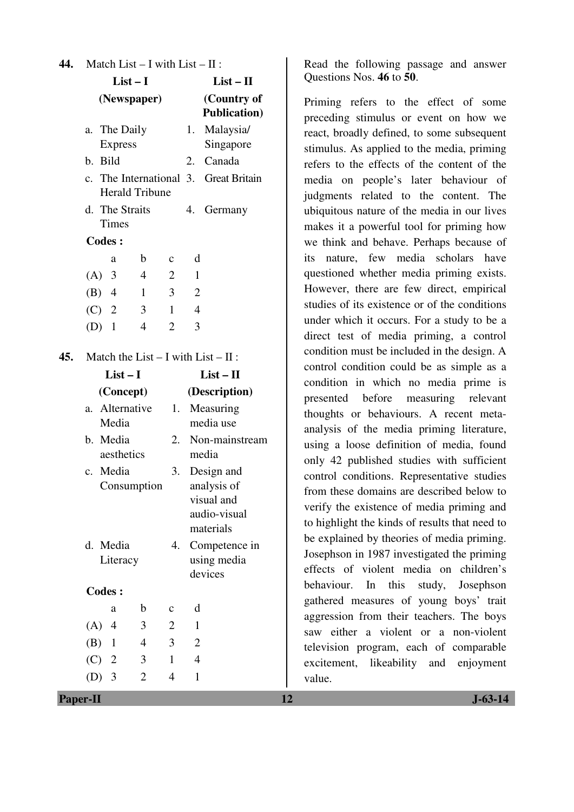| 44. | Match List $- I$ with List $- II$ :                                           |                             |                                         |             |                |                                     |  |  |
|-----|-------------------------------------------------------------------------------|-----------------------------|-----------------------------------------|-------------|----------------|-------------------------------------|--|--|
|     | $List-I$                                                                      |                             |                                         |             |                | $List - II$                         |  |  |
|     | (Newspaper)                                                                   |                             |                                         |             |                | (Country of<br><b>Publication</b> ) |  |  |
|     | a.                                                                            | The Daily<br><b>Express</b> |                                         |             | 1.             | Malaysia/<br>Singapore              |  |  |
|     | $\mathbf{b}$ .                                                                | <b>Bild</b>                 |                                         |             | 2.             | Canada                              |  |  |
|     | The International 3. Great Britain<br>$\mathbf{c}$ .<br><b>Herald Tribune</b> |                             |                                         |             |                |                                     |  |  |
|     | The Straits<br>d.<br><b>Times</b>                                             |                             |                                         |             |                | Germany                             |  |  |
|     | <b>Codes:</b>                                                                 |                             |                                         |             |                |                                     |  |  |
|     |                                                                               | a                           | $\mathbf b$                             | c           | d              |                                     |  |  |
|     | $(A)$ 3                                                                       |                             | 4                                       | 2           | $\mathbf{1}$   |                                     |  |  |
|     | $(B)$ 4                                                                       |                             | $\mathbf{1}$                            | 3           | $\overline{2}$ |                                     |  |  |
|     | $(C)$ 2                                                                       |                             | 3                                       | 1           | $\overline{4}$ |                                     |  |  |
|     | $(D)$ 1                                                                       |                             | $\overline{4}$                          | 2           | 3              |                                     |  |  |
| 45. |                                                                               |                             | Match the List $- I$ with List $- II$ : |             |                |                                     |  |  |
|     | $List-I$                                                                      |                             |                                         |             |                | $List - II$                         |  |  |
|     | (Concept)                                                                     |                             |                                         |             |                | (Description)                       |  |  |
|     | Alternative<br>a.<br>Media<br>b. Media<br>aesthetics                          |                             |                                         | 1.          |                | Measuring<br>media use              |  |  |
|     |                                                                               |                             |                                         | 2.          |                | Non-mainstream<br>media             |  |  |
|     | $\mathbf{c}$ .                                                                | Media                       |                                         | 3.          |                | Design and                          |  |  |
|     |                                                                               |                             | Consumption                             |             |                | analysis of                         |  |  |
|     |                                                                               |                             |                                         |             |                | visual and<br>audio-visual          |  |  |
|     |                                                                               |                             |                                         |             |                | materials                           |  |  |
|     | d. Media                                                                      |                             |                                         | 4.          |                | Competence in                       |  |  |
|     |                                                                               | Literacy                    |                                         |             |                | using media                         |  |  |
|     |                                                                               |                             |                                         |             |                | devices                             |  |  |
|     | <b>Codes:</b>                                                                 |                             |                                         |             |                |                                     |  |  |
|     |                                                                               | a                           | b                                       | $\mathbf c$ | d              |                                     |  |  |
|     | (A)                                                                           | 4                           | 3                                       | 2           | $\mathbf{1}$   |                                     |  |  |
|     | (B)                                                                           | $\mathbf{1}$                | 4                                       | 3           | $\overline{2}$ |                                     |  |  |
|     | $(C)$ 2                                                                       |                             | 3                                       | 1           | $\overline{4}$ |                                     |  |  |
|     | $(D)$ 3                                                                       |                             | 2                                       | 4           | 1              |                                     |  |  |

Read the following passage and answer Questions Nos. **46** to **50**.

Priming refers to the effect of some preceding stimulus or event on how we react, broadly defined, to some subsequent stimulus. As applied to the media, priming refers to the effects of the content of the media on people's later behaviour of judgments related to the content. The ubiquitous nature of the media in our lives makes it a powerful tool for priming how we think and behave. Perhaps because of its nature, few media scholars have questioned whether media priming exists. However, there are few direct, empirical studies of its existence or of the conditions under which it occurs. For a study to be a direct test of media priming, a control condition must be included in the design. A control condition could be as simple as a condition in which no media prime is presented before measuring relevant thoughts or behaviours. A recent metaanalysis of the media priming literature, using a loose definition of media, found only 42 published studies with sufficient control conditions. Representative studies from these domains are described below to verify the existence of media priming and to highlight the kinds of results that need to be explained by theories of media priming. Josephson in 1987 investigated the priming effects of violent media on children's behaviour. In this study, Josephson gathered measures of young boys' trait aggression from their teachers. The boys saw either a violent or a non-violent television program, each of comparable excitement, likeability and enjoyment value.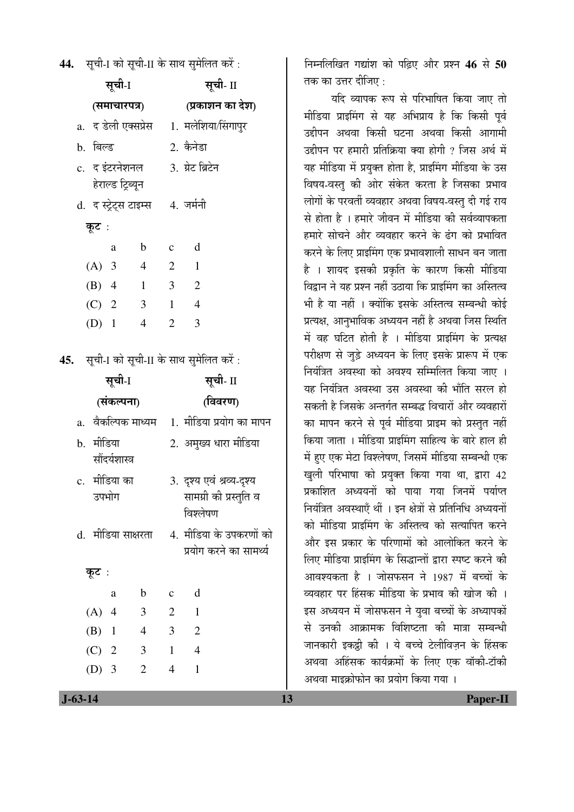**44.** सची-I को सची-II के साथ समेलित करें:

| सूची-1       |                      |                                     |                |                | सूची- II                                            |  |  |  |
|--------------|----------------------|-------------------------------------|----------------|----------------|-----------------------------------------------------|--|--|--|
| (समाचारपत्र) |                      |                                     |                |                | (प्रकाशन का देश)                                    |  |  |  |
|              | a.  द डेली एक्सप्रेस |                                     |                |                | 1. मलेशिया/सिंगापुर                                 |  |  |  |
|              | b. बिल्ड             |                                     |                |                | 2. कैनेडा                                           |  |  |  |
|              |                      | c.  द इंटरनेशनल                     |                |                | 3. ग्रेट ब्रिटेन                                    |  |  |  |
|              |                      | हेराल्ड ट्रिब्यून                   |                |                |                                                     |  |  |  |
|              |                      | d. द स्ट्रेट्स टाइम्स     4. जर्मनी |                |                |                                                     |  |  |  |
|              | कूट :                |                                     |                |                |                                                     |  |  |  |
|              |                      | a                                   | $\mathbf{b}$   | $\mathbf{c}$   | $\mathbf d$                                         |  |  |  |
|              |                      | (A) 3 4                             |                | $\overline{2}$ | $\overline{1}$                                      |  |  |  |
|              |                      | $(B)$ 4 1 3 2                       |                |                |                                                     |  |  |  |
|              |                      | $(C)$ 2 3 1 4                       |                |                |                                                     |  |  |  |
|              | $(D)$ 1              |                                     | $\overline{4}$ | $\overline{2}$ | 3                                                   |  |  |  |
|              |                      |                                     |                |                | <b>45.</b> सूची-I को सूची-II के साथ सुमेलित करें :  |  |  |  |
| सूची-1       |                      |                                     |                |                | सूची- II                                            |  |  |  |
| (संकल्पना)   |                      |                                     |                |                | (विवरण)                                             |  |  |  |
| a.           |                      |                                     |                |                | वैकल्पिक माध्यम    1.  मीडिया प्रयोग का मापन        |  |  |  |
| b. मीडिया    |                      |                                     |                |                | 2. अमुख्य धारा मीडिया                               |  |  |  |
|              |                      | सौंदर्यशास्त्र                      |                |                |                                                     |  |  |  |
|              | उपभोग                | c.  मीडिया का                       |                |                | 3. दृश्य एवं श्रव्य-दृश्य<br>सामग्री की प्रस्तुति व |  |  |  |
|              |                      |                                     |                |                | विश्लेषण                                            |  |  |  |
|              |                      | d.  मीडिया साक्षरता                 |                |                | 4. मीडिया के उपकरणों को                             |  |  |  |
|              |                      |                                     |                |                | प्रयोग करने का सामर्थ्य                             |  |  |  |
|              | कूट :                |                                     |                |                |                                                     |  |  |  |
|              |                      | a                                   | $\mathbf b$    | c              | d                                                   |  |  |  |
|              | $(A)$ 4              |                                     | 3              | $\overline{2}$ | $\mathbf{1}$                                        |  |  |  |
|              | $(B)$ 1              |                                     | $\overline{4}$ | 3              | 2                                                   |  |  |  |

×®Ö´®Ö×»Ö×ÜÖŸÖ ÝÖªÖÓ¿Ö ÛúÖê ¯ÖלÌü‹ †Öî¸ü ¯ÖÏ¿®Ö **46** ÃÖê **50** तक का उत्तर दीजिए :

यदि व्यापक रूप से परिभाषित किया जाए तो मीडिया प्राइमिंग से यह अभिप्राय है कि किसी पूर्व उद्दीपन अथवा किसी घटना अथवा किसी आगामी उद्दीपन पर हमारी प्रतिक्रिया क्या होगी ? जिस अर्थ में यह मीडिया में प्रयक्त होता है. प्राइमिंग मीडिया के उस विषय-वस्त् की ओर संकेत करता है जिसका प्रभाव लोगों के परवर्ती व्यवहार अथवा विषय-वस्तु दी गई राय से होता है । हमारे जीवन में मीडिया की सर्वव्यापकता हमारे सोचने और व्यवहार करने के ढंग को प्रभावित करने के लिए प्राइमिंग एक प्रभावशाली साधन बन जाता है । शायद इसकी प्रकृति के कारण किसी मीडिया विद्रान ने यह प्रश्न नहीं उठाया कि प्राइमिंग का अस्तित्व भी है या नहीं । क्योंकि इसके अस्तित्व सम्बन्धी कोई प्रत्यक्ष, आनुभाविक अध्ययन नहीं है अथवा जिस स्थिति में वह घटित होती है । मीडिया प्राइमिंग के प्रत्यक्ष परीक्षण से जुड़े अध्ययन के लिए इसके प्रारूप में एक <u>नियंत्रित अवस्था को अवश्य सम्मिलित किया जाए</u> । यह नियंत्रित अवस्था उस अवस्था की भाँति सरल हो सकती है जिसके अन्तर्गत सम्बद्ध विचारों और व्यवहारों का मापन करने से पूर्व मीडिया प्राइम को प्रस्तुत नहीं किया जाता । मीडिया प्राइमिंग साहित्य के बारे हाल ही में हुए एक मेटा विश्लेषण, जिसमें मीडिया सम्बन्धी एक खुली परिभाषा को प्रयुक्त किया गया था, द्वारा 42 प्रकाशित अध्ययनों को पाया गया जिनमें पर्याप्त नियंत्रित अवस्थाएँ थीं । इन क्षेत्रों से प्रतिनिधि अध्ययनों को मीडिया प्राइमिंग के अस्तित्व को सत्यापित करने और इस प्रकार के परिणामों को आलोकित करने के लिए मीडिया प्राइमिंग के सिद्धान्तों द्वारा स्पष्ट करने की आवश्यकता है । जोसफसन ने 1987 में बच्चों के व्यवहार पर हिंसक मीडिया के प्रभाव की खोज की । इस अध्ययन में जोसफसन ने युवा बच्चों के अध्यापकों से उनकी आक्रामक विशिष्टता की मात्रा सम्बन्धी जानकारी इकट्ठी की । ये बच्चे टेलीविज़न के हिंसक अथवा अहिंसक कार्यक्रमों के लिए एक वॉकी-टॉकी अथवा माइक्रोफोन का प्रयोग किया गया ।

 (C) 2 3 1 4 (D) 3 2 4 1

 **J-63-14 13 Paper-II**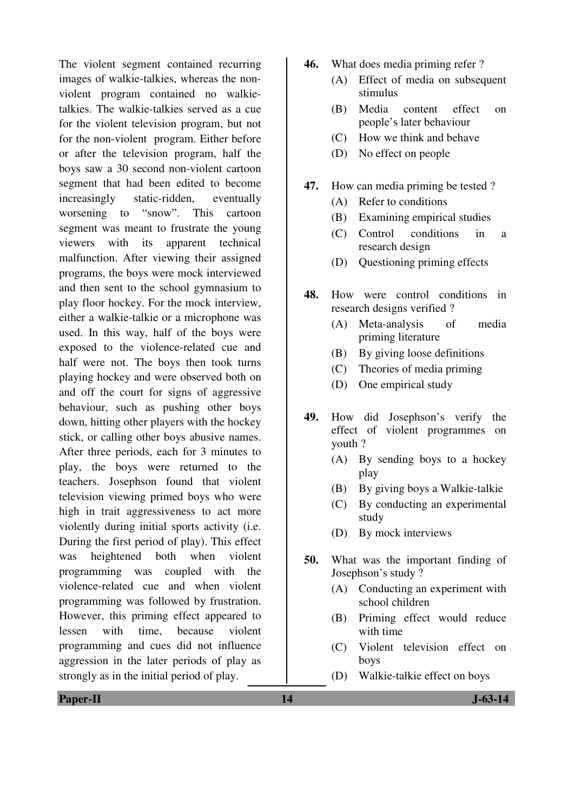The violent segment contained recurring images of walkie-talkies, whereas the nonviolent program contained no walkietalkies. The walkie-talkies served as a cue for the violent television program, but not for the non-violent program. Either before or after the television program, half the boys saw a 30 second non-violent cartoon segment that had been edited to become increasingly static-ridden, eventually worsening to "snow". This cartoon segment was meant to frustrate the young viewers with its apparent technical malfunction. After viewing their assigned programs, the boys were mock interviewed and then sent to the school gymnasium to play floor hockey. For the mock interview, either a walkie-talkie or a microphone was used. In this way, half of the boys were exposed to the violence-related cue and half were not. The boys then took turns playing hockey and were observed both on and off the court for signs of aggressive behaviour, such as pushing other boys down, hitting other players with the hockey stick, or calling other boys abusive names. After three periods, each for 3 minutes to play, the boys were returned to the teachers. Josephson found that violent television viewing primed boys who were high in trait aggressiveness to act more violently during initial sports activity (i.e. During the first period of play). This effect was heightened both when violent programming was coupled with the violence-related cue and when violent programming was followed by frustration. However, this priming effect appeared to lessen with time, because violent programming and cues did not influence aggression in the later periods of play as strongly as in the initial period of play.

- **46.** What does media priming refer ?
	- (A) Effect of media on subsequent stimulus
	- (B) Media content effect on people's later behaviour
	- (C) How we think and behave
	- (D) No effect on people
- **47.** How can media priming be tested ?
	- (A) Refer to conditions
	- (B) Examining empirical studies
	- (C) Control conditions in a research design
	- (D) Questioning priming effects
- **48.** How were control conditions in research designs verified ?
	- (A) Meta-analysis of media priming literature
	- (B) By giving loose definitions
	- (C) Theories of media priming
	- (D) One empirical study
- **49.** How did Josephson's verify the effect of violent programmes on youth ?
	- (A) By sending boys to a hockey play
	- (B) By giving boys a Walkie-talkie
	- (C) By conducting an experimental study
	- (D) By mock interviews
- **50.** What was the important finding of Josephson's study ?
	- (A) Conducting an experiment with school children
	- (B) Priming effect would reduce with time
	- (C) Violent television effect on boys
	- (D) Walkie-talkie effect on boys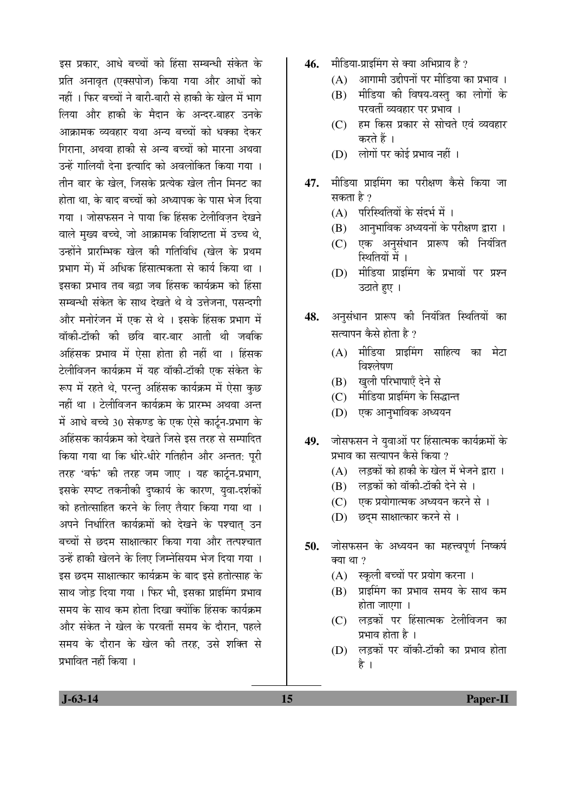इस प्रकार, आधे बच्चों को हिंसा सम्बन्धी संकेत के प्रति अनावृत (एक्सपोज) किया गया और आधों को नहीं । फिर बच्चों ने बारी-बारी से हाकी के खेल में भाग लिया और हाकी के मैदान के अन्दर-बाहर उनके आक्रामक व्यवहार यथा अन्य बच्चों को धक्का देकर गिराना. अथवा हाकी से अन्य बच्चों को मारना अथवा उन्हें गालियाँ देना इत्यादि को अवलोकित किया गया । तीन बार के खेल. जिसके प्रत्येक खेल तीन मिनट का होता था. के बाद बच्चों को अध्यापक के पास भेज दिया गया । जोसफसन ने पाया कि हिंसक टेलीविजन देखने वाले मुख्य बच्चे, जो आक्रामक विशिष्टता में उच्च थे, उन्होंने प्रारम्भिक खेल की गतिविधि (खेल के प्रथम प्रभाग में) में अधिक हिंसात्मकता से कार्य किया था । इसका प्रभाव तब बढा जब हिंसक कार्यक्रम को हिंसा सम्बन्धी संकेत के साथ देखते थे वे उत्तेजना. पसन्दगी और मनोरंजन में एक से थे । इसके हिंसक प्रभाग में ञॉकी-टॉकी की छवि बार-बार आती थी जबकि अहिंसक प्रभाव में ऐसा होता ही नहीं था । हिंसक टेलीविजन कार्यक्रम में यह वॉकी-टॉकी एक संकेत के रूप में रहते थे, परन्तु अहिंसक कार्यक्रम में ऐसा कुछ नहीं था । टेलीविजन कार्यक्रम के प्रारम्भ अथवा अन्त में आधे बच्चे 30 सेकण्ड के एक ऐसे कार्टन-प्रभाग के अहिंसक कार्यक्रम को देखते जिसे इस तरह से सम्पादित किया गया था कि धीरे-धीरे गतिहीन और अन्तत: पूरी तरह 'बर्फ' की तरह जम जाए । यह कार्टून-प्रभाग, इसके स्पष्ट तकनीकी दुष्कार्य के कारण, युवा-दर्शकों को हतोत्साहित करने के लिए तैयार किया गया था । अपने निर्धारित कार्यक्रमों को देखने के पश्चात् उन बच्चों से छदम साक्षात्कार किया गया और तत्पश्चात उन्हें हाकी खेलने के लिए जिम्नेसियम भेज दिया गया । इस छदम साक्षात्कार कार्यक्रम के बाद इसे हतोत्साह के साथ जोड़ दिया गया । फिर भी, इसका प्राइमिंग प्रभाव समय के साथ कम होता दिखा क्योंकि हिंसक कार्यक्रम और संकेत ने खेल के परवर्ती समय के दौरान. पहले समय के दौरान के खेल की तरह, उसे शक्ति से प्रभावित नहीं किया ।

- 46. **मीडिया-प्राडमिंग से क्या अभिप्राय है** ?
	- $(A)$  आगामी उद्दीपनों पर मीडिया का प्रभाव ।
	- (B) मीडिया की विषय-वस्त् का लोगों के परवर्ती व्यवहार पर प्रभाव ।
	- (C) हम किस प्रकार से सोचते एवं व्यवहार करते हैं ।
	- (D) लोगों पर कोई प्रभाव नहीं ।
- **47.** मीडिया प्राइमिंग का परीक्षण कैसे किया जा सकता है ?
	- (A) परिस्थितियों के संदर्भ में ।
	- (B) आनुभाविक अध्ययनों के परीक्षण द्वारा ।
	- (C) एक अनुसंधान प्रारूप की नियंत्रित स्थितियों में ।
	- (D) मीडिया प्राइमिंग के प्रभावों पर प्रश्न उठाते हुए ।
- 48. अनसंधान प्रारूप की नियंत्रित स्थितियों का सत्यापन कैसे होता है ?
	- (A) मीडिया प्राइमिंग साहित्य का मेटा विश्लेषण
	- (B) खुली परिभाषाएँ देने से
	- (C) मीडिया प्राइमिंग के सिद्धान्त
	- (D) एक आनुभाविक अध्ययन
- 49. जोसफसन ने युवाओं पर हिंसात्मक कार्यक्रमों के प्रभाव का सत्यापन कैसे किया ?
	- $(A)$  लड़कों को हाकी के खेल में भेजने द्वारा ।
	- $(B)$  लड़कों को वॉकी-टॉकी देने से ।
	- (C) एक प्रयोगात्मक अध्ययन करने से ।
	- (D) छदम साक्षात्कार करने से ।
- 50. जोसफसन के अध्ययन का महत्त्वपूर्ण निष्कर्ष क्या था $?$ 
	- (A) स्कूली बच्चों पर प्रयोग करना ।
	- $(B)$  प्राइमिंग का प्रभाव समय के साथ कम होता जाएगा ।
	- (C) लड़कों पर हिंसात्मक टेलीविजन का प्रभाव होता है ।
	- (D) लड़कों पर वॉकी-टॉकी का प्रभाव होता है ।